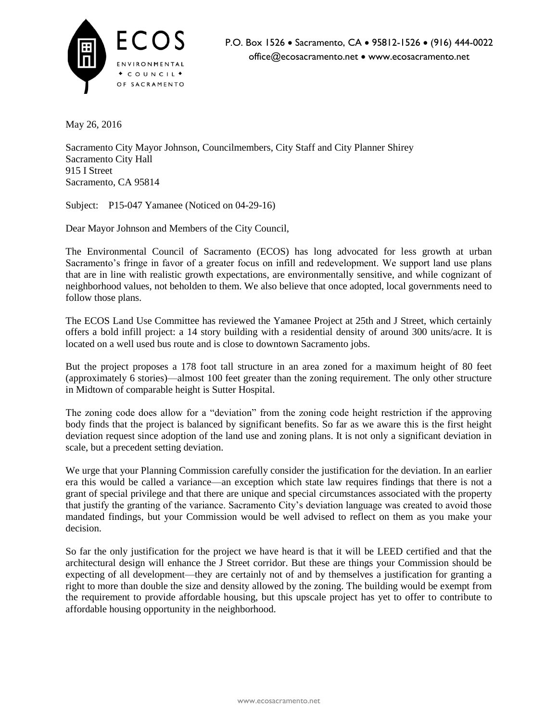

May 26, 2016

Sacramento City Mayor Johnson, Councilmembers, City Staff and City Planner Shirey Sacramento City Hall 915 I Street Sacramento, CA 95814

Subject: P15-047 Yamanee (Noticed on 04-29-16)

Dear Mayor Johnson and Members of the City Council,

The Environmental Council of Sacramento (ECOS) has long advocated for less growth at urban Sacramento's fringe in favor of a greater focus on infill and redevelopment. We support land use plans that are in line with realistic growth expectations, are environmentally sensitive, and while cognizant of neighborhood values, not beholden to them. We also believe that once adopted, local governments need to follow those plans.

The ECOS Land Use Committee has reviewed the Yamanee Project at 25th and J Street, which certainly offers a bold infill project: a 14 story building with a residential density of around 300 units/acre. It is located on a well used bus route and is close to downtown Sacramento jobs.

But the project proposes a 178 foot tall structure in an area zoned for a maximum height of 80 feet (approximately 6 stories)—almost 100 feet greater than the zoning requirement. The only other structure in Midtown of comparable height is Sutter Hospital.

The zoning code does allow for a "deviation" from the zoning code height restriction if the approving body finds that the project is balanced by significant benefits. So far as we aware this is the first height deviation request since adoption of the land use and zoning plans. It is not only a significant deviation in scale, but a precedent setting deviation.

We urge that your Planning Commission carefully consider the justification for the deviation. In an earlier era this would be called a variance—an exception which state law requires findings that there is not a grant of special privilege and that there are unique and special circumstances associated with the property that justify the granting of the variance. Sacramento City's deviation language was created to avoid those mandated findings, but your Commission would be well advised to reflect on them as you make your decision.

So far the only justification for the project we have heard is that it will be LEED certified and that the architectural design will enhance the J Street corridor. But these are things your Commission should be expecting of all development—they are certainly not of and by themselves a justification for granting a right to more than double the size and density allowed by the zoning. The building would be exempt from the requirement to provide affordable housing, but this upscale project has yet to offer to contribute to affordable housing opportunity in the neighborhood.